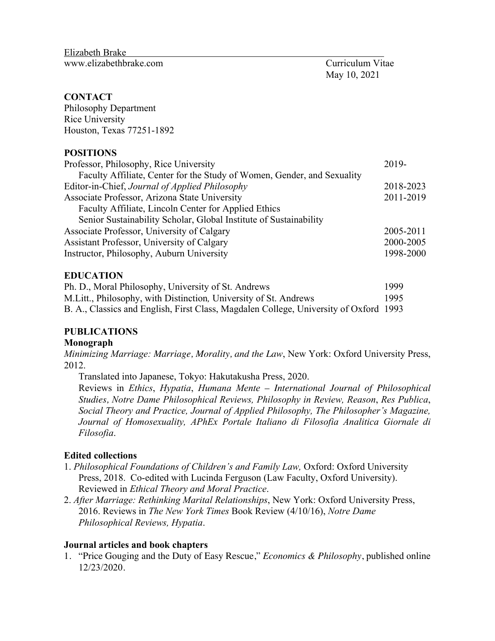Elizabeth Brake Elizabeth Brake<br><www.elizabethbrake.com>Curriculum Vitae

May 10, 2021

#### **CONTACT**

 Houston, Texas 77251-1892 Philosophy Department Rice University

#### **POSITIONS**

| Professor, Philosophy, Rice University                                  | 2019-     |
|-------------------------------------------------------------------------|-----------|
| Faculty Affiliate, Center for the Study of Women, Gender, and Sexuality |           |
| Editor-in-Chief, Journal of Applied Philosophy                          | 2018-2023 |
| Associate Professor, Arizona State University                           |           |
| Faculty Affiliate, Lincoln Center for Applied Ethics                    |           |
| Senior Sustainability Scholar, Global Institute of Sustainability       |           |
| Associate Professor, University of Calgary                              | 2005-2011 |
| Assistant Professor, University of Calgary                              | 2000-2005 |
| Instructor, Philosophy, Auburn University                               | 1998-2000 |

#### **EDUCATION**

| Ph. D., Moral Philosophy, University of St. Andrews                                   | 1999 |
|---------------------------------------------------------------------------------------|------|
| M. Litt., Philosophy, with Distinction, University of St. Andrews                     | 1995 |
| B. A., Classics and English, First Class, Magdalen College, University of Oxford 1993 |      |

# **PUBLICATIONS Monograph**

 *Minimizing Marriage: Marriage, Morality, and the Law*, New York: Oxford University Press, 2012.

2012. Translated into Japanese, Tokyo: Hakutakusha Press, 2020.

 Reviews in *Ethics*, *Hypatia*, *Humana Mente* – *International Journal of Philosophical Studies, Notre Dame Philosophical Reviews, Philosophy in Review, Reason*, *Res Publica*,  *Social Theory and Practice, Journal of Applied Philosophy, The Philosopher's Magazine, Journal of Homosexuality, APhEx Portale Italiano di Filosofia Analitica Giornale di Filosofia*.

#### **Edited collections**

- 1. *Philosophical Foundations of Children's and Family Law,* Oxford: Oxford University Press, 2018. Co-edited with Lucinda Ferguson (Law Faculty, Oxford University). Reviewed in *Ethical Theory and Moral Practice*.
- 2. *After Marriage: Rethinking Marital Relationships*, New York: Oxford University Press, 2016. Reviews in *The New York Times* Book Review (4/10/16), *Notre Dame Philosophical Reviews, Hypatia*.

#### **Journal articles and book chapters**

 1. "Price Gouging and the Duty of Easy Rescue," *Economics & Philosophy*, published online 12/23/2020.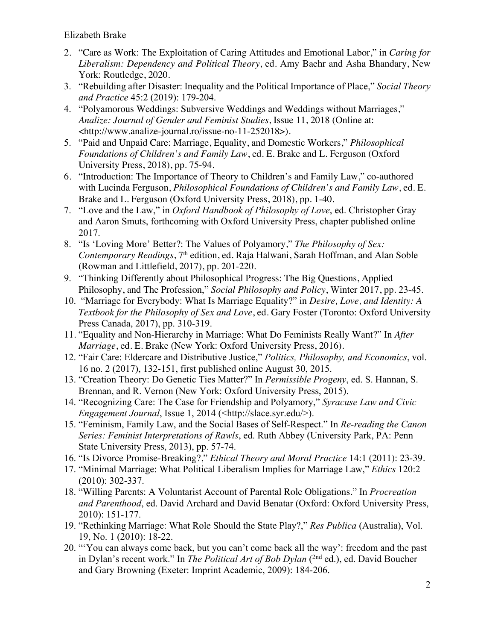- 2. "Care as Work: The Exploitation of Caring Attitudes and Emotional Labor," in *Caring for Liberalism: Dependency and Political Theory*, ed. Amy Baehr and Asha Bhandary, New York: Routledge, 2020.
- 3. "Rebuilding after Disaster: Inequality and the Political Importance of Place," *Social Theory*  and Practice 45:2 (2019): 179-204.
- 4. "Polyamorous Weddings: Subversive Weddings and Weddings without Marriages," *Analize: Journal of Gender and Feminist Studies*, Issue 11, 2018 (Online at: <[http://www.analize-journal.ro/issue-no-11-252018>](http://www.analize-journal.ro/issue-no-11-252018)).
- 5. "Paid and Unpaid Care: Marriage, Equality, and Domestic Workers," *Philosophical Foundations of Children's and Family Law*, ed. E. Brake and L. Ferguson (Oxford University Press, 2018), pp. 75-94.
- 6. "Introduction: The Importance of Theory to Children's and Family Law," co-authored with Lucinda Ferguson, *Philosophical Foundations of Children's and Family Law*, ed. E. Brake and L. Ferguson (Oxford University Press, 2018), pp. 1-40.
- 7. "Love and the Law," in *Oxford Handbook of Philosophy of Love*, ed. Christopher Gray and Aaron Smuts, forthcoming with Oxford University Press, chapter published online 2017.
- *Contemporary Readings*, 7th edition, ed. Raja Halwani, Sarah Hoffman, and Alan Soble 8. "Is 'Loving More' Better?: The Values of Polyamory," *The Philosophy of Sex:*  (Rowman and Littlefield, 2017), pp. 201-220.
- 9. "Thinking Differently about Philosophical Progress: The Big Questions, Applied Philosophy, and The Profession," *Social Philosophy and Policy*, Winter 2017, pp. 23-45.
- 10. "Marriage for Everybody: What Is Marriage Equality?" in *Desire, Love, and Identity: A Textbook for the Philosophy of Sex and Love*, ed. Gary Foster (Toronto: Oxford University Press Canada, 2017), pp. 310-319.
- 11. "Equality and Non-Hierarchy in Marriage: What Do Feminists Really Want?" In *After Marriage*, ed. E. Brake (New York: Oxford University Press, 2016).
- 12. "Fair Care: Eldercare and Distributive Justice," *Politics, Philosophy, and Economics*, vol. 16 no. 2 (2017), 132-151, first published online August 30, 2015.
- Brennan, and R. Vernon (New York: Oxford University Press, 2015). 13. "Creation Theory: Do Genetic Ties Matter?" In *Permissible Progeny*, ed. S. Hannan, S.
- 14. "Recognizing Care: The Case for Friendship and Polyamory," *Syracuse Law and Civic Engagement Journal*, Issue 1, 2014 (<[http://slace.syr.edu/](http://slace.syr.edu)>).
- 15. "Feminism, Family Law, and the Social Bases of Self-Respect." In *Re-reading the Canon Series: Feminist Interpretations of Rawls*, ed. Ruth Abbey (University Park, PA: Penn State University Press, 2013), pp. 57-74.
- 16. "Is Divorce Promise-Breaking?," *Ethical Theory and Moral Practice* 14:1 (2011): 23-39.
- 17. "Minimal Marriage: What Political Liberalism Implies for Marriage Law," *Ethics* 120:2 (2010): 302-337.
- 18. "Willing Parents: A Voluntarist Account of Parental Role Obligations." In *Procreation and Parenthood*, ed. David Archard and David Benatar (Oxford: Oxford University Press, 2010): 151-177.
- 19. "Rethinking Marriage: What Role Should the State Play?," *Res Publica* (Australia), Vol. 19, No. 1 (2010): 18-22.
- in Dylan's recent work." In *The Political Art of Bob Dylan* ( 2nd ed.), ed. David Boucher 20. "'You can always come back, but you can't come back all the way': freedom and the past and Gary Browning (Exeter: Imprint Academic, 2009): 184-206.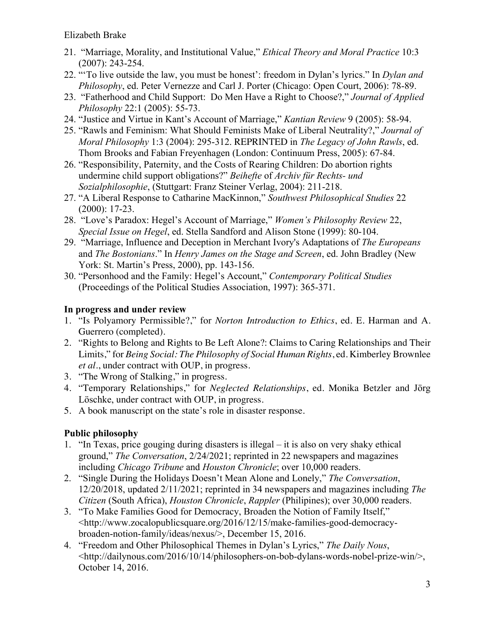- $(2007): 243 254.$ 21. "Marriage, Morality, and Institutional Value," *Ethical Theory and Moral Practice* 10:3
- (2007): 243-254. 22. "'To live outside the law, you must be honest': freedom in Dylan's lyrics." In *Dylan and Philosophy*, ed. Peter Vernezze and Carl J. Porter (Chicago: Open Court, 2006): 78-89.
- 23. "Fatherhood and Child Support: Do Men Have a Right to Choose?," *Journal of Applied Philosophy* 22:1 (2005): 55-73.
- 24. "Justice and Virtue in Kant's Account of Marriage," *Kantian Review* 9 (2005): 58-94.
- 25. "Rawls and Feminism: What Should Feminists Make of Liberal Neutrality?," *Journal of Moral Philosophy* 1:3 (2004): 295-312. REPRINTED in *The Legacy of John Rawls*, ed. Thom Brooks and Fabian Freyenhagen (London: Continuum Press, 2005): 67-84.
- undermine child support obligations?" *Beihefte* of *Archiv für Rechts- und*  26. "Responsibility, Paternity, and the Costs of Rearing Children: Do abortion rights *Sozialphilosophie*, (Stuttgart: Franz Steiner Verlag, 2004): 211-218.
- 27. "A Liberal Response to Catharine MacKinnon," *Southwest Philosophical Studies* 22 (2000): 17-23.
- 28. "Love's Paradox: Hegel's Account of Marriage," *Women's Philosophy Review* 22, *Special Issue on Hegel*, ed. Stella Sandford and Alison Stone (1999): 80-104.
- 29. "Marriage, Influence and Deception in Merchant Ivory's Adaptations of *The Europeans*  and *The Bostonians*." In *Henry James on the Stage and Screen*, ed. John Bradley (New York: St. Martin's Press, 2000), pp. 143-156.
- 30. "Personhood and the Family: Hegel's Account," *Contemporary Political Studies*  (Proceedings of the Political Studies Association, 1997): 365-371.

#### **In progress and under review**

- 1. "Is Polyamory Permissible?," for *Norton Introduction to Ethics*, ed. E. Harman and A. Guerrero (completed).
- 2. "Rights to Belong and Rights to Be Left Alone?: Claims to Caring Relationships and Their  Limits," for *Being Social: The Philosophy of Social Human Rights*, ed. Kimberley Brownlee *et al*., under contract with OUP, in progress.
- 3. "The Wrong of Stalking," in progress.
- 4. "Temporary Relationships," for *Neglected Relationships*, ed. Monika Betzler and Jörg Löschke, under contract with OUP, in progress.
- 5. A book manuscript on the state's role in disaster response.

#### **Public philosophy**

- 1. "In Texas, price gouging during disasters is illegal it is also on very shaky ethical ground," *The Conversation*, 2/24/2021; reprinted in 22 newspapers and magazines including *Chicago Tribune* and *Houston Chronicle*; over 10,000 readers.
- 2. "Single During the Holidays Doesn't Mean Alone and Lonely," *The Conversation*, 12/20/2018, updated 2/11/2021; reprinted in 34 newspapers and magazines including *The Citizen* (South Africa), *Houston Chronicle*, *Rappler* (Philipines); over 30,000 readers.
- 3. "To Make Families Good for Democracy, Broaden the Notion of Family Itself," <<http://www.zocalopublicsquare.org/2016/12/15/make-families-good-democracy>broaden-notion-family/ideas/nexus/>, December 15, 2016.
- 4. "Freedom and Other Philosophical Themes in Dylan's Lyrics," *The Daily Nous*, <[http://dailynous.com/2016/10/14/philosophers-on-bob-dylans-words-nobel-prize-win/](http://dailynous.com/2016/10/14/philosophers-on-bob-dylans-words-nobel-prize-win)>, October 14, 2016.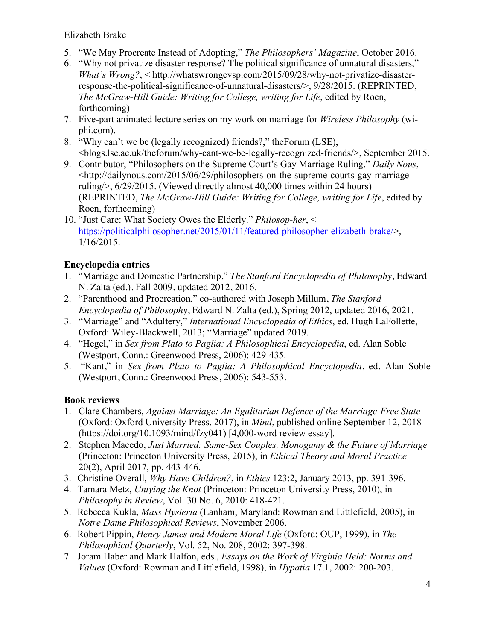- 5. "We May Procreate Instead of Adopting," *The Philosophers' Magazine*, October 2016.
- response-the-political-significance-of-unnatural-disasters/>, 9/28/2015. (REPRINTED, 6. "Why not privatize disaster response? The political significance of unnatural disasters," *What's Wrong?*, < <http://whatswrongcvsp.com/2015/09/28/why-not-privatize-disaster>-*The McGraw-Hill Guide: Writing for College, writing for Life*, edited by Roen, forthcoming)
- 7. Five-part animated lecture series on my work on marriage for *Wireless Philosophy* (wiphi.com).
- 8. "Why can't we be (legally recognized) friends?," theForum (LSE), <blogs.lse.ac.uk/theforum/why-cant-we-be-legally-recognized-friends/>, September 2015.
- 9. Contributor, "Philosophers on the Supreme Court's Gay Marriage Ruling," *Daily Nous*, <<http://dailynous.com/2015/06/29/philosophers-on-the-supreme-courts-gay-marriage>ruling/>, 6/29/2015. (Viewed directly almost 40,000 times within 24 hours) (REPRINTED, *The McGraw-Hill Guide: Writing for College, writing for Life*, edited by Roen, forthcoming)
- 10. "Just Care: What Society Owes the Elderly." *Philosop-her*, < <https://politicalphilosopher.net/2015/01/11/featured-philosopher-elizabeth-brake>/>, 1/16/2015.

# **Encyclopedia entries**

- 1. "Marriage and Domestic Partnership," *The Stanford Encyclopedia of Philosophy*, Edward N. Zalta (ed.), Fall 2009, updated 2012, 2016.
- 2. "Parenthood and Procreation," co-authored with Joseph Millum, *The Stanford Encyclopedia of Philosophy*, Edward N. Zalta (ed.), Spring 2012, updated 2016, 2021.
- 3. "Marriage" and "Adultery," *International Encyclopedia of Ethics*, ed. Hugh LaFollette, Oxford: Wiley-Blackwell, 2013; "Marriage" updated 2019.
- 4. "Hegel," in *Sex from Plato to Paglia: A Philosophical Encyclopedia*, ed. Alan Soble (Westport, Conn.: Greenwood Press, 2006): 429-435.
- 5. "Kant," in *Sex from Plato to Paglia: A Philosophical Encyclopedia*, ed. Alan Soble (Westport, Conn.: Greenwood Press, 2006): 543-553.

# **Book reviews**

- 1. Clare Chambers, *Against Marriage: An Egalitarian Defence of the Marriage-Free State*  (Oxford: Oxford University Press, 2017), in *Mind*, published online September 12, 2018 [\(https://doi.org/10.1093/mind/fzy041\)](https://doi.org/10.1093/mind/fzy041) [4,000-word review essay].
- (Princeton: Princeton University Press, 2015), in *Ethical Theory and Moral Practice*  2. Stephen Macedo, *Just Married: Same-Sex Couples, Monogamy & the Future of Marriage*  20(2), April 2017, pp. 443-446.
- 3. Christine Overall, *Why Have Children?*, in *Ethics* 123:2, January 2013, pp. 391-396.
- 4. Tamara Metz, *Untying the Knot* (Princeton: Princeton University Press, 2010), in *Philosophy in Review*, Vol. 30 No. 6, 2010: 418-421.
- 5. Rebecca Kukla, *Mass Hysteria* (Lanham, Maryland: Rowman and Littlefield, 2005), in *Notre Dame Philosophical Reviews*, November 2006.
- *Philosophical Quarterly*, Vol. 52, No. 208, 2002: 397-398. 6. Robert Pippin, *Henry James and Modern Moral Life* (Oxford: OUP, 1999), in *The*
- 7. Joram Haber and Mark Halfon, eds., *Essays on the Work of Virginia Held: Norms and Values* (Oxford: Rowman and Littlefield, 1998), in *Hypatia* 17.1, 2002: 200-203.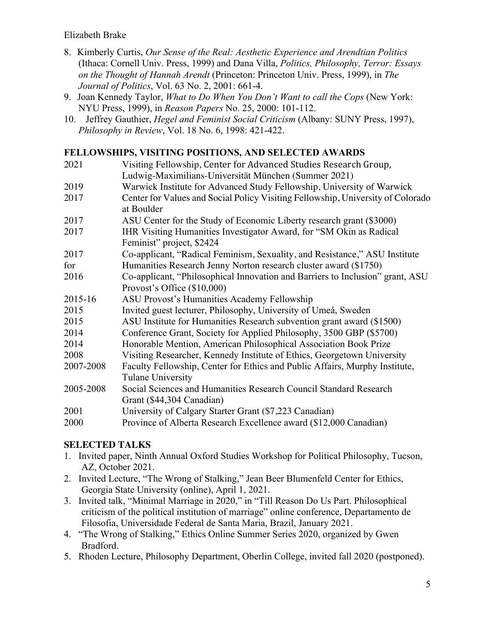- *Journal of Politics*, Vol. 63 No. 2, 2001: 661-4. 8. Kimberly Curtis, *Our Sense of the Real: Aesthetic Experience and Arendtian Politics*  (Ithaca: Cornell Univ. Press, 1999) and Dana Villa, *Politics, Philosophy, Terror: Essays on the Thought of Hannah Arendt* (Princeton: Princeton Univ. Press, 1999), in *The*
- 9. Joan Kennedy Taylor, *What to Do When You Don't Want to call the Cops* (New York: NYU Press, 1999), in *Reason Papers* No. 25, 2000: 101-112.
- 10. Jeffrey Gauthier, *Hegel and Feminist Social Criticism* (Albany: SUNY Press, 1997), *Philosophy in Review*, Vol. 18 No. 6, 1998: 421-422.

#### **FELLOWSHIPS, VISITING POSITIONS, AND SELECTED AWARDS**

| 2021      | Visiting Fellowship, Center for Advanced Studies Research Group,                |
|-----------|---------------------------------------------------------------------------------|
|           | Ludwig-Maximilians-Universität München (Summer 2021)                            |
| 2019      | Warwick Institute for Advanced Study Fellowship, University of Warwick          |
| 2017      | Center for Values and Social Policy Visiting Fellowship, University of Colorado |
|           | at Boulder                                                                      |
| 2017      | ASU Center for the Study of Economic Liberty research grant (\$3000)            |
| 2017      | IHR Visiting Humanities Investigator Award, for "SM Okin as Radical             |
|           | Feminist" project, \$2424                                                       |
| 2017      | Co-applicant, "Radical Feminism, Sexuality, and Resistance," ASU Institute      |
| for       | Humanities Research Jenny Norton research cluster award (\$1750)                |
| 2016      | Co-applicant, "Philosophical Innovation and Barriers to Inclusion" grant, ASU   |
|           | Provost's Office (\$10,000)                                                     |
| 2015-16   | ASU Provost's Humanities Academy Fellowship                                     |
| 2015      | Invited guest lecturer, Philosophy, University of Umeå, Sweden                  |
| 2015      | ASU Institute for Humanities Research subvention grant award (\$1500)           |
| 2014      | Conference Grant, Society for Applied Philosophy, 3500 GBP (\$5700)             |
| 2014      | Honorable Mention, American Philosophical Association Book Prize                |
| 2008      | Visiting Researcher, Kennedy Institute of Ethics, Georgetown University         |
| 2007-2008 | Faculty Fellowship, Center for Ethics and Public Affairs, Murphy Institute,     |
|           | Tulane University                                                               |
| 2005-2008 | Social Sciences and Humanities Research Council Standard Research               |
|           | Grant (\$44,304 Canadian)                                                       |
| 2001      | University of Calgary Starter Grant (\$7,223 Canadian)                          |
| 2000      | Province of Alberta Research Excellence award (\$12,000 Canadian)               |

#### **SELECTED TALKS**

- 1. Invited paper, Ninth Annual Oxford Studies Workshop for Political Philosophy, Tucson, AZ, October 2021.
- Georgia State University (online), April 1, 2021. 2. Invited Lecture, "The Wrong of Stalking," Jean Beer Blumenfeld Center for Ethics,
- 3. Invited talk, "Minimal Marriage in 2020," in "Till Reason Do Us Part. Philosophical criticism of the political institution of marriage" online conference, Departamento de Filosofia, Universidade Federal de Santa Maria, Brazil, January 2021.
- 4. "The Wrong of Stalking," Ethics Online Summer Series 2020, organized by Gwen Bradford.
- 5. Rhoden Lecture, Philosophy Department, Oberlin College, invited fall 2020 (postponed).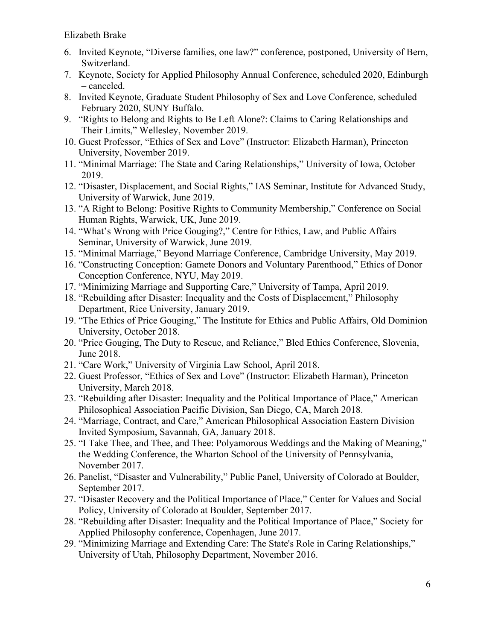- 6. Invited Keynote, "Diverse families, one law?" conference, postponed, University of Bern, Switzerland.
- – canceled. 7. Keynote, Society for Applied Philosophy Annual Conference, scheduled 2020, Edinburgh
- February 2020, SUNY Buffalo. 8. Invited Keynote, Graduate Student Philosophy of Sex and Love Conference, scheduled
- 9. "Rights to Belong and Rights to Be Left Alone?: Claims to Caring Relationships and Their Limits," Wellesley, November 2019.
- 10. Guest Professor, "Ethics of Sex and Love" (Instructor: Elizabeth Harman), Princeton University, November 2019.
- 11. "Minimal Marriage: The State and Caring Relationships," University of Iowa, October 2019.
- 12. "Disaster, Displacement, and Social Rights," IAS Seminar, Institute for Advanced Study, University of Warwick, June 2019.
- 13. "A Right to Belong: Positive Rights to Community Membership," Conference on Social Human Rights, Warwick, UK, June 2019.
- 14. "What's Wrong with Price Gouging?," Centre for Ethics, Law, and Public Affairs Seminar, University of Warwick, June 2019.
- 15. "Minimal Marriage," Beyond Marriage Conference, Cambridge University, May 2019.
- 16. "Constructing Conception: Gamete Donors and Voluntary Parenthood," Ethics of Donor Conception Conference, NYU, May 2019.
- 17. "Minimizing Marriage and Supporting Care," University of Tampa, April 2019.
- 18. "Rebuilding after Disaster: Inequality and the Costs of Displacement," Philosophy Department, Rice University, January 2019.
- 19. "The Ethics of Price Gouging," The Institute for Ethics and Public Affairs, Old Dominion University, October 2018.
- 20. "Price Gouging, The Duty to Rescue, and Reliance," Bled Ethics Conference, Slovenia, June 2018.
- 21. "Care Work," University of Virginia Law School, April 2018.
- 22. Guest Professor, "Ethics of Sex and Love" (Instructor: Elizabeth Harman), Princeton University, March 2018.
- 23. "Rebuilding after Disaster: Inequality and the Political Importance of Place," American Philosophical Association Pacific Division, San Diego, CA, March 2018.
- 24. "Marriage, Contract, and Care," American Philosophical Association Eastern Division Invited Symposium, Savannah, GA, January 2018.
- 25. "I Take Thee, and Thee, and Thee: Polyamorous Weddings and the Making of Meaning," the Wedding Conference, the Wharton School of the University of Pennsylvania, November 2017.
- 26. Panelist, "Disaster and Vulnerability," Public Panel, University of Colorado at Boulder, September 2017.
- 27. "Disaster Recovery and the Political Importance of Place," Center for Values and Social Policy, University of Colorado at Boulder, September 2017.
- 28. "Rebuilding after Disaster: Inequality and the Political Importance of Place," Society for Applied Philosophy conference, Copenhagen, June 2017.
- 29. "Minimizing Marriage and Extending Care: The State's Role in Caring Relationships," University of Utah, Philosophy Department, November 2016.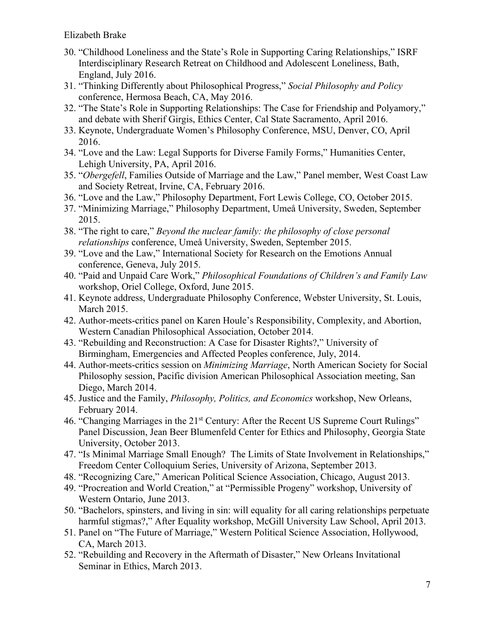- 30. "Childhood Loneliness and the State's Role in Supporting Caring Relationships," ISRF Interdisciplinary Research Retreat on Childhood and Adolescent Loneliness, Bath, England, July 2016.
- conference, Hermosa Beach, CA, May 2016. 31. "Thinking Differently about Philosophical Progress," *Social Philosophy and Policy*
- and debate with Sherif Girgis, Ethics Center, Cal State Sacramento, April 2016. 32. "The State's Role in Supporting Relationships: The Case for Friendship and Polyamory,"
- 33. Keynote, Undergraduate Women's Philosophy Conference, MSU, Denver, CO, April 2016.
- 34. "Love and the Law: Legal Supports for Diverse Family Forms," Humanities Center, Lehigh University, PA, April 2016.
- 35. "*Obergefell*, Families Outside of Marriage and the Law," Panel member, West Coast Law and Society Retreat, Irvine, CA, February 2016.
- 36. "Love and the Law," Philosophy Department, Fort Lewis College, CO, October 2015.
- 37. "Minimizing Marriage," Philosophy Department, Umeå University, Sweden, September 2015.
- *relationships* conference, Umeå University, Sweden, September 2015. 38. "The right to care," *Beyond the nuclear family: the philosophy of close personal*
- 39. "Love and the Law," International Society for Research on the Emotions Annual conference, Geneva, July 2015.
- 40. "Paid and Unpaid Care Work," *Philosophical Foundations of Children's and Family Law*  workshop, Oriel College, Oxford, June 2015.
- 41. Keynote address, Undergraduate Philosophy Conference, Webster University, St. Louis, March 2015.
- 42. Author-meets-critics panel on Karen Houle's Responsibility, Complexity, and Abortion, Western Canadian Philosophical Association, October 2014.
- 43. "Rebuilding and Reconstruction: A Case for Disaster Rights?," University of Birmingham, Emergencies and Affected Peoples conference, July, 2014.
- 44. Author-meets-critics session on *Minimizing Marriage*, North American Society for Social Philosophy session, Pacific division American Philosophical Association meeting, San Diego, March 2014.
- 45. Justice and the Family, *Philosophy, Politics, and Economics* workshop, New Orleans, February 2014.
- 46. "Changing Marriages in the 21<sup>st</sup> Century: After the Recent US Supreme Court Rulings" Panel Discussion, Jean Beer Blumenfeld Center for Ethics and Philosophy, Georgia State University, October 2013.
- 47. "Is Minimal Marriage Small Enough? The Limits of State Involvement in Relationships," Freedom Center Colloquium Series, University of Arizona, September 2013.
- 48. "Recognizing Care," American Political Science Association, Chicago, August 2013.
- Western Ontario, June 2013. 49. "Procreation and World Creation," at "Permissible Progeny" workshop, University of
- 50. "Bachelors, spinsters, and living in sin: will equality for all caring relationships perpetuate harmful stigmas?," After Equality workshop, McGill University Law School, April 2013.
- 51. Panel on "The Future of Marriage," Western Political Science Association, Hollywood, CA, March 2013.
- 52. "Rebuilding and Recovery in the Aftermath of Disaster," New Orleans Invitational Seminar in Ethics, March 2013.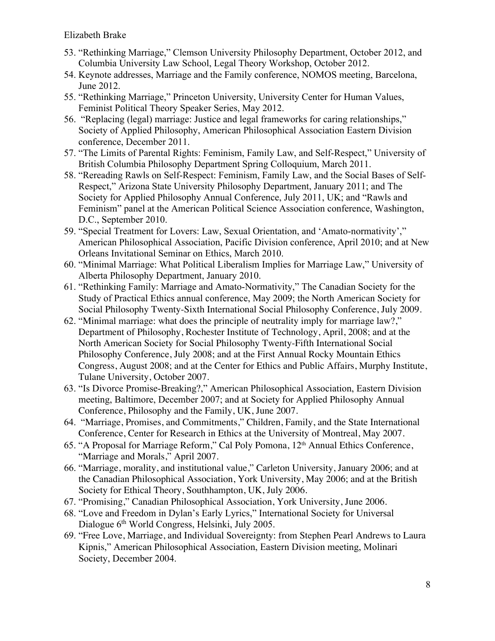- 53. "Rethinking Marriage," Clemson University Philosophy Department, October 2012, and Columbia University Law School, Legal Theory Workshop, October 2012.
- 54. Keynote addresses, Marriage and the Family conference, NOMOS meeting, Barcelona, June 2012.
- Feminist Political Theory Speaker Series, May 2012. 55. "Rethinking Marriage," Princeton University, University Center for Human Values,
- 56. "Replacing (legal) marriage: Justice and legal frameworks for caring relationships," Society of Applied Philosophy, American Philosophical Association Eastern Division conference, December 2011.
- 57. "The Limits of Parental Rights: Feminism, Family Law, and Self-Respect," University of British Columbia Philosophy Department Spring Colloquium, March 2011.
- Respect," Arizona State University Philosophy Department, January 2011; and The 58. "Rereading Rawls on Self-Respect: Feminism, Family Law, and the Social Bases of Self-Society for Applied Philosophy Annual Conference, July 2011, UK; and "Rawls and Feminism" panel at the American Political Science Association conference, Washington, D.C., September 2010.
- American Philosophical Association, Pacific Division conference, April 2010; and at New 59. "Special Treatment for Lovers: Law, Sexual Orientation, and 'Amato-normativity'," Orleans Invitational Seminar on Ethics, March 2010.
- 60. "Minimal Marriage: What Political Liberalism Implies for Marriage Law," University of Alberta Philosophy Department, January 2010.
- 61. "Rethinking Family: Marriage and Amato-Normativity," The Canadian Society for the Study of Practical Ethics annual conference, May 2009; the North American Society for Social Philosophy Twenty-Sixth International Social Philosophy Conference, July 2009.
- Department of Philosophy, Rochester Institute of Technology, April, 2008; and at the Philosophy Conference, July 2008; and at the First Annual Rocky Mountain Ethics Congress, August 2008; and at the Center for Ethics and Public Affairs, Murphy Institute, 62. "Minimal marriage: what does the principle of neutrality imply for marriage law?," North American Society for Social Philosophy Twenty-Fifth International Social Tulane University, October 2007.
- 63. "Is Divorce Promise-Breaking?," American Philosophical Association, Eastern Division meeting, Baltimore, December 2007; and at Society for Applied Philosophy Annual Conference, Philosophy and the Family, UK, June 2007.
- 64. "Marriage, Promises, and Commitments," Children, Family, and the State International Conference, Center for Research in Ethics at the University of Montreal, May 2007.
- 65. "A Proposal for Marriage Reform," Cal Poly Pomona, 12th Annual Ethics Conference, "Marriage and Morals," April 2007.
- 66. "Marriage, morality, and institutional value," Carleton University, January 2006; and at the Canadian Philosophical Association, York University, May 2006; and at the British Society for Ethical Theory, Southhampton, UK, July 2006.
- 67. "Promising," Canadian Philosophical Association, York University, June 2006.
- 68. "Love and Freedom in Dylan's Early Lyrics," International Society for Universal Dialogue 6<sup>th</sup> World Congress, Helsinki, July 2005.
- 69. "Free Love, Marriage, and Individual Sovereignty: from Stephen Pearl Andrews to Laura Kipnis," American Philosophical Association, Eastern Division meeting, Molinari Society, December 2004.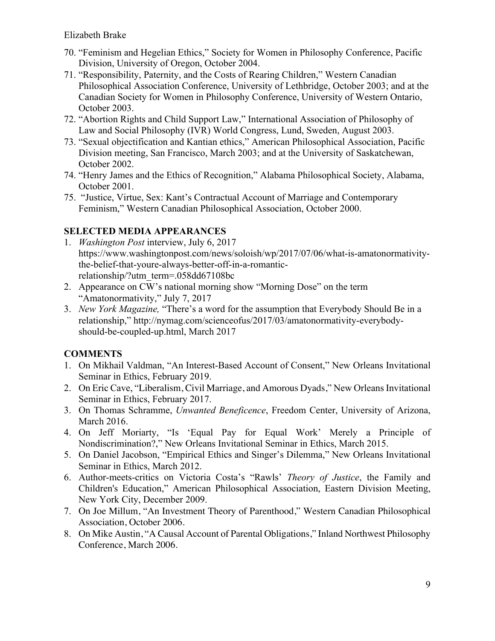- 70. "Feminism and Hegelian Ethics," Society for Women in Philosophy Conference, Pacific Division, University of Oregon, October 2004.
- 71. "Responsibility, Paternity, and the Costs of Rearing Children," Western Canadian Philosophical Association Conference, University of Lethbridge, October 2003; and at the Canadian Society for Women in Philosophy Conference, University of Western Ontario, October 2003.
- 72. "Abortion Rights and Child Support Law," International Association of Philosophy of Law and Social Philosophy (IVR) World Congress, Lund, Sweden, August 2003.
- 73. "Sexual objectification and Kantian ethics," American Philosophical Association, Pacific Division meeting, San Francisco, March 2003; and at the University of Saskatchewan, October 2002.
- 74. "Henry James and the Ethics of Recognition," Alabama Philosophical Society, Alabama, October 2001.
- 75. "Justice, Virtue, Sex: Kant's Contractual Account of Marriage and Contemporary Feminism," Western Canadian Philosophical Association, October 2000.

### **SELECTED MEDIA APPEARANCES**

- 1. *Washington Post* interview, July 6, 2017 <https://www.washingtonpost.com/news/soloish/wp/2017/07/06/what-is-amatonormativity>the-belief-that-youre-always-better-off-in-a-romanticrelationship/?utm\_term=.058dd67108bc
- 2. Appearance on CW's national morning show "Morning Dose" on the term "Amatonormativity," July 7, 2017
- 3. *New York Magazine,* "There's a word for the assumption that Everybody Should Be in a relationship,"<http://nymag.com/scienceofus/2017/03/amatonormativity-everybody>should-be-coupled-up.html, March 2017

## **COMMENTS**

- 1. On Mikhail Valdman, "An Interest-Based Account of Consent," New Orleans Invitational Seminar in Ethics, February 2019.
- 2. On Eric Cave, "Liberalism, Civil Marriage, and Amorous Dyads," New Orleans Invitational Seminar in Ethics, February 2017.
- 3. On Thomas Schramme, *Unwanted Beneficence*, Freedom Center, University of Arizona, March 2016.
- 4. On Jeff Moriarty, "Is 'Equal Pay for Equal Work' Merely a Principle of Nondiscrimination?," New Orleans Invitational Seminar in Ethics, March 2015.
- 5. On Daniel Jacobson, "Empirical Ethics and Singer's Dilemma," New Orleans Invitational Seminar in Ethics, March 2012.
- 6. Author-meets-critics on Victoria Costa's "Rawls' *Theory of Justice*, the Family and Children's Education," American Philosophical Association, Eastern Division Meeting, New York City, December 2009.
- 7. On Joe Millum, "An Investment Theory of Parenthood," Western Canadian Philosophical Association, October 2006.
- 8. On Mike Austin, "A Causal Account of Parental Obligations," Inland Northwest Philosophy Conference, March 2006.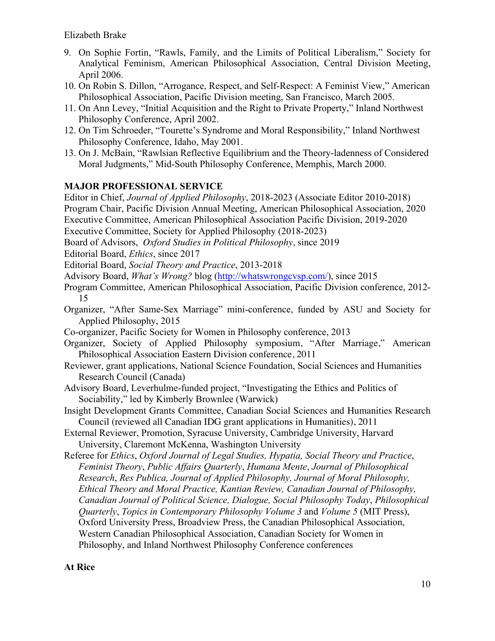- 9. On Sophie Fortin, "Rawls, Family, and the Limits of Political Liberalism," Society for Analytical Feminism, American Philosophical Association, Central Division Meeting, April 2006.
- 10. On Robin S. Dillon, "Arrogance, Respect, and Self-Respect: A Feminist View," American Philosophical Association, Pacific Division meeting, San Francisco, March 2005.
- 11. On Ann Levey, "Initial Acquisition and the Right to Private Property," Inland Northwest Philosophy Conference, April 2002.
- 12. On Tim Schroeder, "Tourette's Syndrome and Moral Responsibility," Inland Northwest Philosophy Conference, Idaho, May 2001.
- 13. On J. McBain, "Rawlsian Reflective Equilibrium and the Theory-ladenness of Considered Moral Judgments," Mid-South Philosophy Conference, Memphis, March 2000.

### **MAJOR PROFESSIONAL SERVICE**

 Research Council (Canada) Sociability," led by Kimberly Brownlee (Warwick) Insight Development Grants Committee, Canadian Social Sciences and Humanities Research Editor in Chief, *Journal of Applied Philosophy*, 2018-2023 (Associate Editor 2010-2018) Program Chair, Pacific Division Annual Meeting, American Philosophical Association, 2020 Executive Committee, American Philosophical Association Pacific Division, 2019-2020 Executive Committee, Society for Applied Philosophy (2018-2023) Board of Advisors, *Oxford Studies in Political Philosophy*, since 2019 Editorial Board, *Ethics*, since 2017 Editorial Board, *Social Theory and Practice*, 2013-2018 Advisory Board, *What's Wrong?* blog [\(http://whatswrongcvsp.com](http://whatswrongcvsp.com)/), since 2015 Program Committee, American Philosophical Association, Pacific Division conference, 2012- 15 Organizer, "After Same-Sex Marriage" mini-conference, funded by ASU and Society for Applied Philosophy, 2015 Co-organizer, Pacific Society for Women in Philosophy conference, 2013 Organizer, Society of Applied Philosophy symposium, "After Marriage," American Philosophical Association Eastern Division conference, 2011 Reviewer, grant applications, National Science Foundation, Social Sciences and Humanities Advisory Board, Leverhulme-funded project, "Investigating the Ethics and Politics of Council (reviewed all Canadian IDG grant applications in Humanities), 2011 External Reviewer, Promotion, Syracuse University, Cambridge University, Harvard University, Claremont McKenna, Washington University Referee for *Ethics*, *Oxford Journal of Legal Studies, Hypatia, Social Theory and Practice*, *Feminist Theory*, *Public Affairs Quarterly*, *Humana Mente*, *Journal of Philosophical Research*, *Res Publica, Journal of Applied Philosophy, Journal of Moral Philosophy, Ethical Theory and Moral Practice, Kantian Review, Canadian Journal of Philosophy,* 

*Canadian Journal of Political Science, Dialogue, Social Philosophy Today*, *Philosophical* 

 Philosophy, and Inland Northwest Philosophy Conference conferences *Quarterly*, *Topics in Contemporary Philosophy Volume 3* and *Volume 5* (MIT Press), Oxford University Press, Broadview Press, the Canadian Philosophical Association, Western Canadian Philosophical Association, Canadian Society for Women in

#### **At Rice**